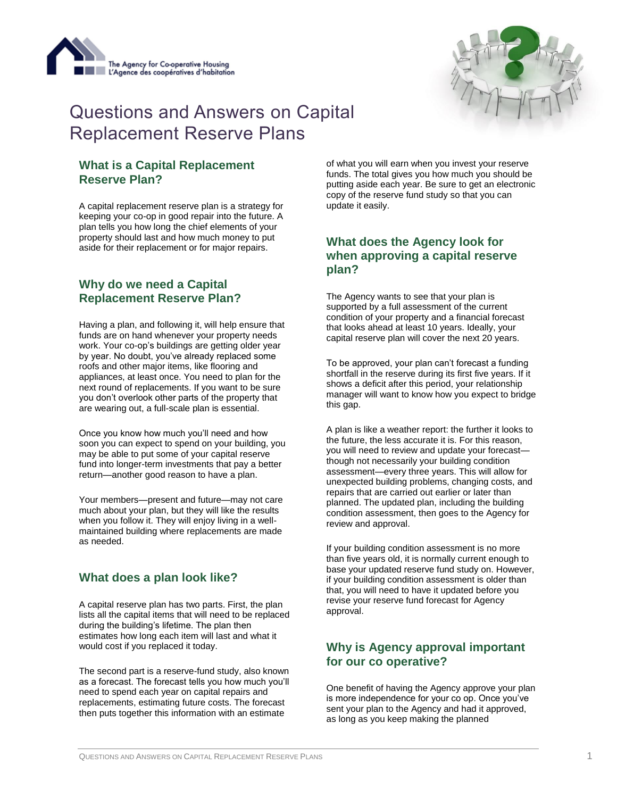



# Questions and Answers on Capital Replacement Reserve Plans

#### **What is a Capital Replacement Reserve Plan?**

A capital replacement reserve plan is a strategy for keeping your co-op in good repair into the future. A plan tells you how long the chief elements of your property should last and how much money to put aside for their replacement or for major repairs.

#### **Why do we need a Capital Replacement Reserve Plan?**

Having a plan, and following it, will help ensure that funds are on hand whenever your property needs work. Your co-op's buildings are getting older year by year. No doubt, you've already replaced some roofs and other major items, like flooring and appliances, at least once. You need to plan for the next round of replacements. If you want to be sure you don't overlook other parts of the property that are wearing out, a full-scale plan is essential.

Once you know how much you'll need and how soon you can expect to spend on your building, you may be able to put some of your capital reserve fund into longer-term investments that pay a better return—another good reason to have a plan.

Your members—present and future—may not care much about your plan, but they will like the results when you follow it. They will enjoy living in a wellmaintained building where replacements are made as needed.

# **What does a plan look like?**

A capital reserve plan has two parts. First, the plan lists all the capital items that will need to be replaced during the building's lifetime. The plan then estimates how long each item will last and what it would cost if you replaced it today.

The second part is a reserve-fund study, also known as a forecast. The forecast tells you how much you'll need to spend each year on capital repairs and replacements, estimating future costs. The forecast then puts together this information with an estimate

of what you will earn when you invest your reserve funds. The total gives you how much you should be putting aside each year. Be sure to get an electronic copy of the reserve fund study so that you can update it easily.

#### **What does the Agency look for when approving a capital reserve plan?**

The Agency wants to see that your plan is supported by a full assessment of the current condition of your property and a financial forecast that looks ahead at least 10 years. Ideally, your capital reserve plan will cover the next 20 years.

To be approved, your plan can't forecast a funding shortfall in the reserve during its first five years. If it shows a deficit after this period, your relationship manager will want to know how you expect to bridge this gap.

A plan is like a weather report: the further it looks to the future, the less accurate it is. For this reason, you will need to review and update your forecast though not necessarily your building condition assessment—every three years. This will allow for unexpected building problems, changing costs, and repairs that are carried out earlier or later than planned. The updated plan, including the building condition assessment, then goes to the Agency for review and approval.

If your building condition assessment is no more than five years old, it is normally current enough to base your updated reserve fund study on. However, if your building condition assessment is older than that, you will need to have it updated before you revise your reserve fund forecast for Agency approval.

# **Why is Agency approval important for our co operative?**

One benefit of having the Agency approve your plan is more independence for your co op. Once you've sent your plan to the Agency and had it approved, as long as you keep making the planned